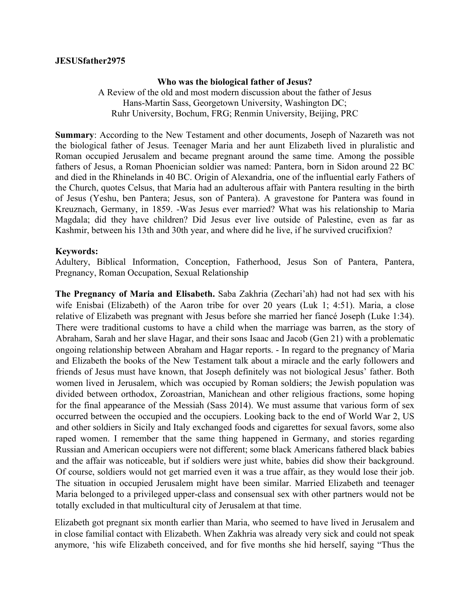## **JESUSfather2975**

## **Who was the biological father of Jesus?**

A Review of the old and most modern discussion about the father of Jesus Hans-Martin Sass, Georgetown University, Washington DC; Ruhr University, Bochum, FRG; Renmin University, Beijing, PRC

**Summary**: According to the New Testament and other documents, Joseph of Nazareth was not the biological father of Jesus. Teenager Maria and her aunt Elizabeth lived in pluralistic and Roman occupied Jerusalem and became pregnant around the same time. Among the possible fathers of Jesus, a Roman Phoenician soldier was named: Pantera, born in Sidon around 22 BC and died in the Rhinelands in 40 BC. Origin of Alexandria, one of the influential early Fathers of the Church, quotes Celsus, that Maria had an adulterous affair with Pantera resulting in the birth of Jesus (Yeshu, ben Pantera; Jesus, son of Pantera). A gravestone for Pantera was found in Kreuznach, Germany, in 1859. -Was Jesus ever married? What was his relationship to Maria Magdala; did they have children? Did Jesus ever live outside of Palestine, even as far as Kashmir, between his 13th and 30th year, and where did he live, if he survived crucifixion?

## **Keywords:**

Adultery, Biblical Information, Conception, Fatherhood, Jesus Son of Pantera, Pantera, Pregnancy, Roman Occupation, Sexual Relationship

**The Pregnancy of Maria and Elisabeth.** Saba Zakhria (Zechari'ah) had not had sex with his wife Enisbai (Elizabeth) of the Aaron tribe for over 20 years (Luk 1; 4:51). Maria, a close relative of Elizabeth was pregnant with Jesus before she married her fiancé Joseph (Luke 1:34). There were traditional customs to have a child when the marriage was barren, as the story of Abraham, Sarah and her slave Hagar, and their sons Isaac and Jacob (Gen 21) with a problematic ongoing relationship between Abraham and Hagar reports. - In regard to the pregnancy of Maria and Elizabeth the books of the New Testament talk about a miracle and the early followers and friends of Jesus must have known, that Joseph definitely was not biological Jesus' father. Both women lived in Jerusalem, which was occupied by Roman soldiers; the Jewish population was divided between orthodox, Zoroastrian, Manichean and other religious fractions, some hoping for the final appearance of the Messiah (Sass 2014). We must assume that various form of sex occurred between the occupied and the occupiers. Looking back to the end of World War 2, US and other soldiers in Sicily and Italy exchanged foods and cigarettes for sexual favors, some also raped women. I remember that the same thing happened in Germany, and stories regarding Russian and American occupiers were not different; some black Americans fathered black babies and the affair was noticeable, but if soldiers were just white, babies did show their background. Of course, soldiers would not get married even it was a true affair, as they would lose their job. The situation in occupied Jerusalem might have been similar. Married Elizabeth and teenager Maria belonged to a privileged upper-class and consensual sex with other partners would not be totally excluded in that multicultural city of Jerusalem at that time.

Elizabeth got pregnant six month earlier than Maria, who seemed to have lived in Jerusalem and in close familial contact with Elizabeth. When Zakhria was already very sick and could not speak anymore, 'his wife Elizabeth conceived, and for five months she hid herself, saying "Thus the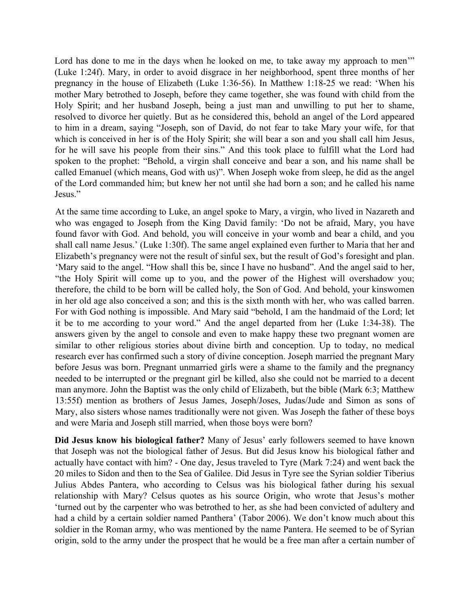Lord has done to me in the days when he looked on me, to take away my approach to men'" (Luke 1:24f). Mary, in order to avoid disgrace in her neighborhood, spent three months of her pregnancy in the house of Elizabeth (Luke 1:36-56). In Matthew 1:18-25 we read: 'When his mother Mary betrothed to Joseph, before they came together, she was found with child from the Holy Spirit; and her husband Joseph, being a just man and unwilling to put her to shame, resolved to divorce her quietly. But as he considered this, behold an angel of the Lord appeared to him in a dream, saying "Joseph, son of David, do not fear to take Mary your wife, for that which is conceived in her is of the Holy Spirit; she will bear a son and you shall call him Jesus, for he will save his people from their sins." And this took place to fulfill what the Lord had spoken to the prophet: "Behold, a virgin shall conceive and bear a son, and his name shall be called Emanuel (which means, God with us)". When Joseph woke from sleep, he did as the angel of the Lord commanded him; but knew her not until she had born a son; and he called his name Jesus."

At the same time according to Luke, an angel spoke to Mary, a virgin, who lived in Nazareth and who was engaged to Joseph from the King David family: 'Do not be afraid, Mary, you have found favor with God. And behold, you will conceive in your womb and bear a child, and you shall call name Jesus.' (Luke 1:30f). The same angel explained even further to Maria that her and Elizabeth's pregnancy were not the result of sinful sex, but the result of God's foresight and plan. 'Mary said to the angel. "How shall this be, since I have no husband". And the angel said to her, "the Holy Spirit will come up to you, and the power of the Highest will overshadow you; therefore, the child to be born will be called holy, the Son of God. And behold, your kinswomen in her old age also conceived a son; and this is the sixth month with her, who was called barren. For with God nothing is impossible. And Mary said "behold, I am the handmaid of the Lord; let it be to me according to your word." And the angel departed from her (Luke 1:34-38). The answers given by the angel to console and even to make happy these two pregnant women are similar to other religious stories about divine birth and conception. Up to today, no medical research ever has confirmed such a story of divine conception. Joseph married the pregnant Mary before Jesus was born. Pregnant unmarried girls were a shame to the family and the pregnancy needed to be interrupted or the pregnant girl be killed, also she could not be married to a decent man anymore. John the Baptist was the only child of Elizabeth, but the bible (Mark 6:3; Matthew 13:55f) mention as brothers of Jesus James, Joseph/Joses, Judas/Jude and Simon as sons of Mary, also sisters whose names traditionally were not given. Was Joseph the father of these boys and were Maria and Joseph still married, when those boys were born?

**Did Jesus know his biological father?** Many of Jesus' early followers seemed to have known that Joseph was not the biological father of Jesus. But did Jesus know his biological father and actually have contact with him? - One day, Jesus traveled to Tyre (Mark 7:24) and went back the 20 miles to Sidon and then to the Sea of Galilee. Did Jesus in Tyre see the Syrian soldier Tiberius Julius Abdes Pantera, who according to Celsus was his biological father during his sexual relationship with Mary? Celsus quotes as his source Origin, who wrote that Jesus's mother 'turned out by the carpenter who was betrothed to her, as she had been convicted of adultery and had a child by a certain soldier named Panthera' (Tabor 2006). We don't know much about this soldier in the Roman army, who was mentioned by the name Pantera. He seemed to be of Syrian origin, sold to the army under the prospect that he would be a free man after a certain number of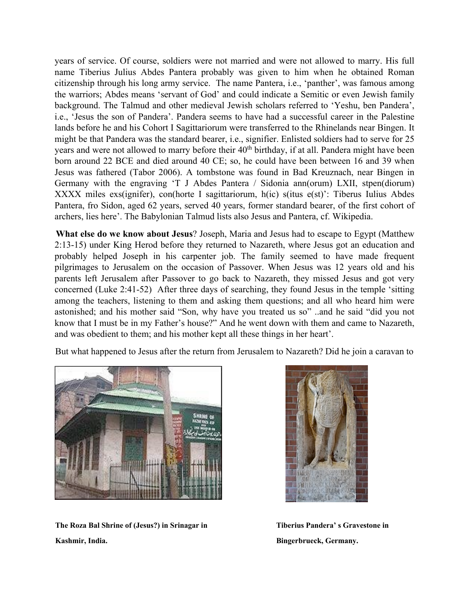years of service. Of course, soldiers were not married and were not allowed to marry. His full name Tiberius Julius Abdes Pantera probably was given to him when he obtained Roman citizenship through his long army service. The name Pantera, i.e., 'panther', was famous among the warriors; Abdes means 'servant of God' and could indicate a Semitic or even Jewish family background. The Talmud and other medieval Jewish scholars referred to 'Yeshu, ben Pandera', i.e., 'Jesus the son of Pandera'. Pandera seems to have had a successful career in the Palestine lands before he and his Cohort I Sagittariorum were transferred to the Rhinelands near Bingen. It might be that Pandera was the standard bearer, i.e., signifier. Enlisted soldiers had to serve for 25 years and were not allowed to marry before their 40<sup>th</sup> birthday, if at all. Pandera might have been born around 22 BCE and died around 40 CE; so, he could have been between 16 and 39 when Jesus was fathered (Tabor 2006). A tombstone was found in Bad Kreuznach, near Bingen in Germany with the engraving 'T J Abdes Pantera / Sidonia ann(orum) LXII, stpen(diorum) XXXX miles exs(ignifer), con(horte I sagittariorum, h(ic) s(itus e(st)': Tiberus Iulius Abdes Pantera, fro Sidon, aged 62 years, served 40 years, former standard bearer, of the first cohort of archers, lies here'. The Babylonian Talmud lists also Jesus and Pantera, cf. Wikipedia.

**What else do we know about Jesus**? Joseph, Maria and Jesus had to escape to Egypt (Matthew 2:13-15) under King Herod before they returned to Nazareth, where Jesus got an education and probably helped Joseph in his carpenter job. The family seemed to have made frequent pilgrimages to Jerusalem on the occasion of Passover. When Jesus was 12 years old and his parents left Jerusalem after Passover to go back to Nazareth, they missed Jesus and got very concerned (Luke 2:41-52) After three days of searching, they found Jesus in the temple 'sitting among the teachers, listening to them and asking them questions; and all who heard him were astonished; and his mother said "Son, why have you treated us so" ..and he said "did you not know that I must be in my Father's house?" And he went down with them and came to Nazareth, and was obedient to them; and his mother kept all these things in her heart'.

But what happened to Jesus after the return from Jerusalem to Nazareth? Did he join a caravan to



**The Roza Bal Shrine of (Jesus?) in Srinagar in Tiberius Pandera' s Gravestone in Kashmir, India. Bingerbrueck, Germany.**

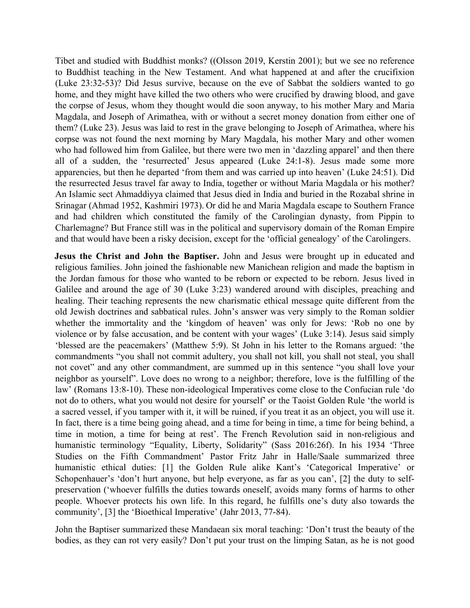Tibet and studied with Buddhist monks? ((Olsson 2019, Kerstin 2001); but we see no reference to Buddhist teaching in the New Testament. And what happened at and after the crucifixion (Luke 23:32-53)? Did Jesus survive, because on the eve of Sabbat the soldiers wanted to go home, and they might have killed the two others who were crucified by drawing blood, and gave the corpse of Jesus, whom they thought would die soon anyway, to his mother Mary and Maria Magdala, and Joseph of Arimathea, with or without a secret money donation from either one of them? (Luke 23). Jesus was laid to rest in the grave belonging to Joseph of Arimathea, where his corpse was not found the next morning by Mary Magdala, his mother Mary and other women who had followed him from Galilee, but there were two men in 'dazzling apparel' and then there all of a sudden, the 'resurrected' Jesus appeared (Luke 24:1-8). Jesus made some more apparencies, but then he departed 'from them and was carried up into heaven' (Luke 24:51). Did the resurrected Jesus travel far away to India, together or without Maria Magdala or his mother? An Islamic sect Ahmaddiyya claimed that Jesus died in India and buried in the Rozabal shrine in Srinagar (Ahmad 1952, Kashmiri 1973). Or did he and Maria Magdala escape to Southern France and had children which constituted the family of the Carolingian dynasty, from Pippin to Charlemagne? But France still was in the political and supervisory domain of the Roman Empire and that would have been a risky decision, except for the 'official genealogy' of the Carolingers.

**Jesus the Christ and John the Baptiser.** John and Jesus were brought up in educated and religious families. John joined the fashionable new Manichean religion and made the baptism in the Jordan famous for those who wanted to be reborn or expected to be reborn. Jesus lived in Galilee and around the age of 30 (Luke 3:23) wandered around with disciples, preaching and healing. Their teaching represents the new charismatic ethical message quite different from the old Jewish doctrines and sabbatical rules. John's answer was very simply to the Roman soldier whether the immortality and the 'kingdom of heaven' was only for Jews: 'Rob no one by violence or by false accusation, and be content with your wages' (Luke 3:14). Jesus said simply 'blessed are the peacemakers' (Matthew 5:9). St John in his letter to the Romans argued: 'the commandments "you shall not commit adultery, you shall not kill, you shall not steal, you shall not covet" and any other commandment, are summed up in this sentence "you shall love your neighbor as yourself". Love does no wrong to a neighbor; therefore, love is the fulfilling of the law' (Romans 13:8-10). These non-ideological Imperatives come close to the Confucian rule 'do not do to others, what you would not desire for yourself' or the Taoist Golden Rule 'the world is a sacred vessel, if you tamper with it, it will be ruined, if you treat it as an object, you will use it. In fact, there is a time being going ahead, and a time for being in time, a time for being behind, a time in motion, a time for being at rest'. The French Revolution said in non-religious and humanistic terminology "Equality, Liberty, Solidarity" (Sass 2016:26f). In his 1934 'Three Studies on the Fifth Commandment' Pastor Fritz Jahr in Halle/Saale summarized three humanistic ethical duties: [1] the Golden Rule alike Kant's 'Categorical Imperative' or Schopenhauer's 'don't hurt anyone, but help everyone, as far as you can', [2] the duty to selfpreservation ('whoever fulfills the duties towards oneself, avoids many forms of harms to other people. Whoever protects his own life. In this regard, he fulfills one's duty also towards the community', [3] the 'Bioethical Imperative' (Jahr 2013, 77-84).

John the Baptiser summarized these Mandaean six moral teaching: 'Don't trust the beauty of the bodies, as they can rot very easily? Don't put your trust on the limping Satan, as he is not good